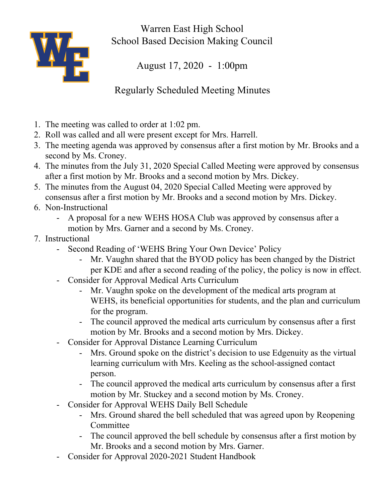

Warren East High School School Based Decision Making Council

August 17, 2020 - 1:00pm

Regularly Scheduled Meeting Minutes

- 1. The meeting was called to order at 1:02 pm.
- 2. Roll was called and all were present except for Mrs. Harrell.
- 3. The meeting agenda was approved by consensus after a first motion by Mr. Brooks and a second by Ms. Croney.
- 4. The minutes from the July 31, 2020 Special Called Meeting were approved by consensus after a first motion by Mr. Brooks and a second motion by Mrs. Dickey.
- 5. The minutes from the August 04, 2020 Special Called Meeting were approved by consensus after a first motion by Mr. Brooks and a second motion by Mrs. Dickey.
- 6. Non-Instructional
	- A proposal for a new WEHS HOSA Club was approved by consensus after a motion by Mrs. Garner and a second by Ms. Croney.
- 7. Instructional
	- Second Reading of 'WEHS Bring Your Own Device' Policy
		- Mr. Vaughn shared that the BYOD policy has been changed by the District per KDE and after a second reading of the policy, the policy is now in effect.
	- Consider for Approval Medical Arts Curriculum
		- Mr. Vaughn spoke on the development of the medical arts program at WEHS, its beneficial opportunities for students, and the plan and curriculum for the program.
		- The council approved the medical arts curriculum by consensus after a first motion by Mr. Brooks and a second motion by Mrs. Dickey.
	- Consider for Approval Distance Learning Curriculum
		- Mrs. Ground spoke on the district's decision to use Edgenuity as the virtual learning curriculum with Mrs. Keeling as the school-assigned contact person.
		- The council approved the medical arts curriculum by consensus after a first motion by Mr. Stuckey and a second motion by Ms. Croney.
	- Consider for Approval WEHS Daily Bell Schedule
		- Mrs. Ground shared the bell scheduled that was agreed upon by Reopening Committee
		- The council approved the bell schedule by consensus after a first motion by Mr. Brooks and a second motion by Mrs. Garner.
	- Consider for Approval 2020-2021 Student Handbook